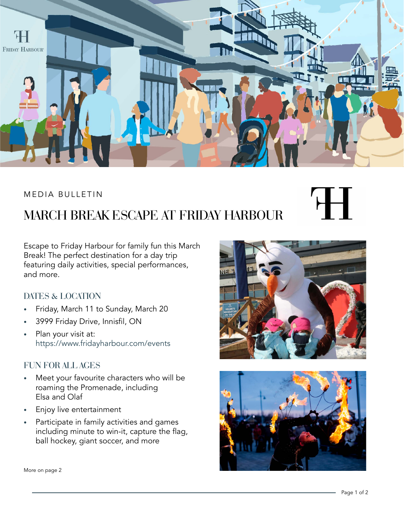

#### MEDIA BULLETIN

# MARCH BREAK ESCAPE AT FRIDAY HARBOUR

Escape to Friday Harbour for family fun this March Break! The perfect destination for a day trip featuring daily activities, special performances, and more.

#### DATES & LOCATION

- Friday, March 11 to Sunday, March 20
- 3999 Friday Drive, Innisfil, ON
- Plan your visit at: <https://www.fridayharbour.com/events>

#### FUN FOR ALL AGES

- Meet your favourite characters who will be roaming the Promenade, including Elsa and Olaf
- Enjoy live entertainment
- Participate in family activities and games including minute to win-it, capture the flag, ball hockey, giant soccer, and more







More on page 2